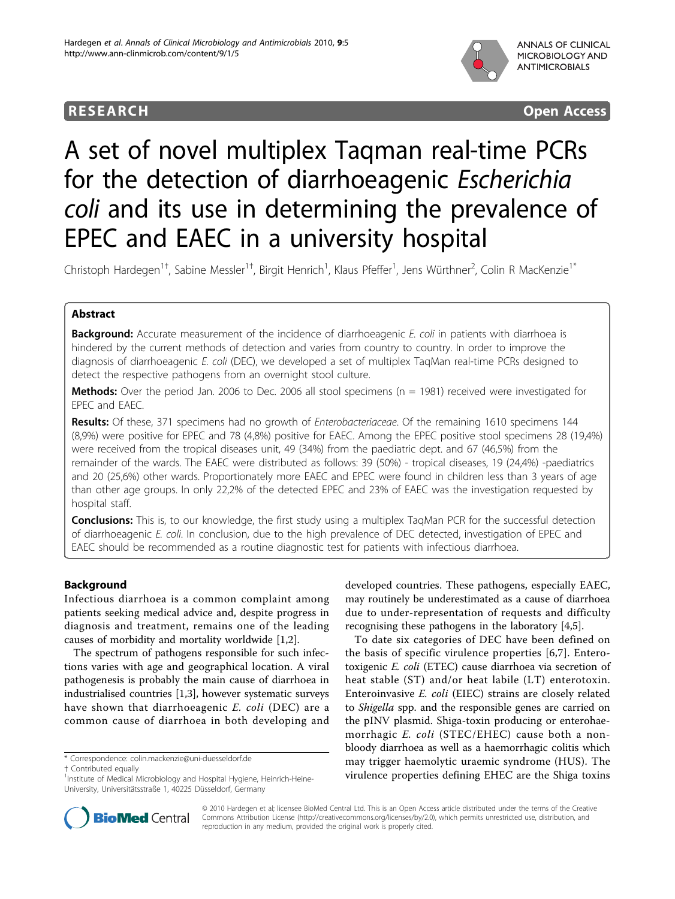

## **RESEARCH CONSTRUCTION CONTROL**

# A set of novel multiplex Taqman real-time PCRs for the detection of diarrhoeagenic Escherichia coli and its use in determining the prevalence of EPEC and EAEC in a university hospital

Christoph Hardegen<sup>1†</sup>, Sabine Messler<sup>1†</sup>, Birgit Henrich<sup>1</sup>, Klaus Pfeffer<sup>1</sup>, Jens Würthner<sup>2</sup>, Colin R MacKenzie<sup>1\*</sup>

## Abstract

**Background:** Accurate measurement of the incidence of diarrhoeagenic E. coli in patients with diarrhoea is hindered by the current methods of detection and varies from country to country. In order to improve the diagnosis of diarrhoeagenic E. coli (DEC), we developed a set of multiplex TaqMan real-time PCRs designed to detect the respective pathogens from an overnight stool culture.

**Methods:** Over the period Jan. 2006 to Dec. 2006 all stool specimens ( $n = 1981$ ) received were investigated for EPEC and EAEC.

Results: Of these, 371 specimens had no growth of *Enterobacteriaceae*. Of the remaining 1610 specimens 144 (8,9%) were positive for EPEC and 78 (4,8%) positive for EAEC. Among the EPEC positive stool specimens 28 (19,4%) were received from the tropical diseases unit, 49 (34%) from the paediatric dept. and 67 (46,5%) from the remainder of the wards. The EAEC were distributed as follows: 39 (50%) - tropical diseases, 19 (24,4%) -paediatrics and 20 (25,6%) other wards. Proportionately more EAEC and EPEC were found in children less than 3 years of age than other age groups. In only 22,2% of the detected EPEC and 23% of EAEC was the investigation requested by hospital staff.

**Conclusions:** This is, to our knowledge, the first study using a multiplex TaqMan PCR for the successful detection of diarrhoeagenic E. coli. In conclusion, due to the high prevalence of DEC detected, investigation of EPEC and EAEC should be recommended as a routine diagnostic test for patients with infectious diarrhoea.

## Background

Infectious diarrhoea is a common complaint among patients seeking medical advice and, despite progress in diagnosis and treatment, remains one of the leading causes of morbidity and mortality worldwide [\[1,2](#page-5-0)].

The spectrum of pathogens responsible for such infections varies with age and geographical location. A viral pathogenesis is probably the main cause of diarrhoea in industrialised countries [\[1,3](#page-5-0)], however systematic surveys have shown that diarrhoeagenic E. coli (DEC) are a common cause of diarrhoea in both developing and

† Contributed equally <sup>1</sup>

developed countries. These pathogens, especially EAEC, may routinely be underestimated as a cause of diarrhoea due to under-representation of requests and difficulty recognising these pathogens in the laboratory [\[4,5](#page-5-0)].

To date six categories of DEC have been defined on the basis of specific virulence properties [[6,7](#page-5-0)]. Enterotoxigenic E. coli (ETEC) cause diarrhoea via secretion of heat stable (ST) and/or heat labile (LT) enterotoxin. Enteroinvasive E. coli (EIEC) strains are closely related to Shigella spp. and the responsible genes are carried on the pINV plasmid. Shiga-toxin producing or enterohaemorrhagic E. coli (STEC/EHEC) cause both a nonbloody diarrhoea as well as a haemorrhagic colitis which may trigger haemolytic uraemic syndrome (HUS). The virulence properties defining EHEC are the Shiga toxins



© 2010 Hardegen et al; licensee BioMed Central Ltd. This is an Open Access article distributed under the terms of the Creative Commons Attribution License [\(http://creativecommons.org/licenses/by/2.0](http://creativecommons.org/licenses/by/2.0)), which permits unrestricted use, distribution, and reproduction in any medium, provided the original work is properly cited.

<sup>\*</sup> Correspondence: [colin.mackenzie@uni-duesseldorf.de](mailto:colin.mackenzie@uni-duesseldorf.de)

<sup>&</sup>lt;sup>1</sup>Institute of Medical Microbiology and Hospital Hygiene, Heinrich-Heine-University, Universitätsstraße 1, 40225 Düsseldorf, Germany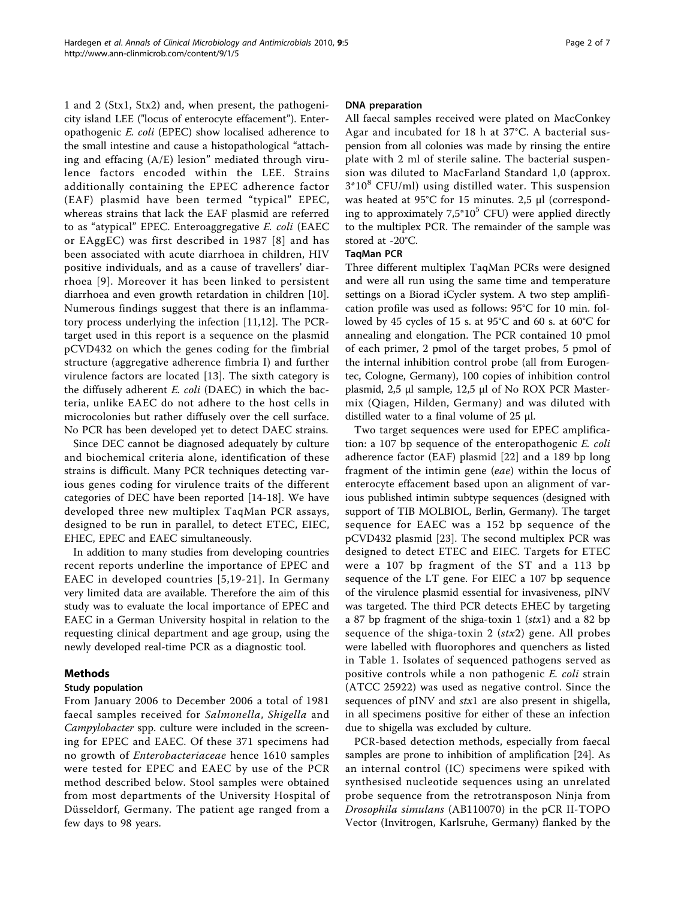1 and 2 (Stx1, Stx2) and, when present, the pathogenicity island LEE ("locus of enterocyte effacement"). Enteropathogenic E. coli (EPEC) show localised adherence to the small intestine and cause a histopathological "attaching and effacing (A/E) lesion" mediated through virulence factors encoded within the LEE. Strains additionally containing the EPEC adherence factor (EAF) plasmid have been termed "typical" EPEC, whereas strains that lack the EAF plasmid are referred to as "atypical" EPEC. Enteroaggregative E. coli (EAEC or EAggEC) was first described in 1987 [\[8\]](#page-5-0) and has been associated with acute diarrhoea in children, HIV positive individuals, and as a cause of travellers' diarrhoea [[9](#page-5-0)]. Moreover it has been linked to persistent diarrhoea and even growth retardation in children [[10](#page-5-0)]. Numerous findings suggest that there is an inflammatory process underlying the infection [[11,12](#page-5-0)]. The PCRtarget used in this report is a sequence on the plasmid pCVD432 on which the genes coding for the fimbrial structure (aggregative adherence fimbria I) and further virulence factors are located [[13](#page-5-0)]. The sixth category is the diffusely adherent  $E.$  coli (DAEC) in which the bacteria, unlike EAEC do not adhere to the host cells in microcolonies but rather diffusely over the cell surface. No PCR has been developed yet to detect DAEC strains.

Since DEC cannot be diagnosed adequately by culture and biochemical criteria alone, identification of these strains is difficult. Many PCR techniques detecting various genes coding for virulence traits of the different categories of DEC have been reported [[14-18](#page-5-0)]. We have developed three new multiplex TaqMan PCR assays, designed to be run in parallel, to detect ETEC, EIEC, EHEC, EPEC and EAEC simultaneously.

In addition to many studies from developing countries recent reports underline the importance of EPEC and EAEC in developed countries [[5](#page-5-0),[19](#page-5-0)-[21\]](#page-5-0). In Germany very limited data are available. Therefore the aim of this study was to evaluate the local importance of EPEC and EAEC in a German University hospital in relation to the requesting clinical department and age group, using the newly developed real-time PCR as a diagnostic tool.

## Methods

## Study population

From January 2006 to December 2006 a total of 1981 faecal samples received for Salmonella, Shigella and Campylobacter spp. culture were included in the screening for EPEC and EAEC. Of these 371 specimens had no growth of Enterobacteriaceae hence 1610 samples were tested for EPEC and EAEC by use of the PCR method described below. Stool samples were obtained from most departments of the University Hospital of Düsseldorf, Germany. The patient age ranged from a few days to 98 years.

## DNA preparation

All faecal samples received were plated on MacConkey Agar and incubated for 18 h at 37°C. A bacterial suspension from all colonies was made by rinsing the entire plate with 2 ml of sterile saline. The bacterial suspension was diluted to MacFarland Standard 1,0 (approx.  $3*10<sup>8</sup>$  CFU/ml) using distilled water. This suspension was heated at 95°C for 15 minutes. 2,5 μl (corresponding to approximately  $7.5^*10^5$  CFU) were applied directly to the multiplex PCR. The remainder of the sample was stored at -20°C.

## TaqMan PCR

Three different multiplex TaqMan PCRs were designed and were all run using the same time and temperature settings on a Biorad iCycler system. A two step amplification profile was used as follows: 95°C for 10 min. followed by 45 cycles of 15 s. at 95°C and 60 s. at 60°C for annealing and elongation. The PCR contained 10 pmol of each primer, 2 pmol of the target probes, 5 pmol of the internal inhibition control probe (all from Eurogentec, Cologne, Germany), 100 copies of inhibition control plasmid, 2,5 μl sample, 12,5 μl of No ROX PCR Mastermix (Qiagen, Hilden, Germany) and was diluted with distilled water to a final volume of 25 μl.

Two target sequences were used for EPEC amplification: a 107 bp sequence of the enteropathogenic E. coli adherence factor (EAF) plasmid [[22\]](#page-5-0) and a 189 bp long fragment of the intimin gene (eae) within the locus of enterocyte effacement based upon an alignment of various published intimin subtype sequences (designed with support of TIB MOLBIOL, Berlin, Germany). The target sequence for EAEC was a 152 bp sequence of the pCVD432 plasmid [[23](#page-5-0)]. The second multiplex PCR was designed to detect ETEC and EIEC. Targets for ETEC were a 107 bp fragment of the ST and a 113 bp sequence of the LT gene. For EIEC a 107 bp sequence of the virulence plasmid essential for invasiveness, pINV was targeted. The third PCR detects EHEC by targeting a 87 bp fragment of the shiga-toxin 1  $(stx1)$  and a 82 bp sequence of the shiga-toxin 2 ( $stx2$ ) gene. All probes were labelled with fluorophores and quenchers as listed in Table [1.](#page-2-0) Isolates of sequenced pathogens served as positive controls while a non pathogenic E. coli strain (ATCC 25922) was used as negative control. Since the sequences of pINV and *stx*1 are also present in shigella, in all specimens positive for either of these an infection due to shigella was excluded by culture.

PCR-based detection methods, especially from faecal samples are prone to inhibition of amplification [\[24](#page-5-0)]. As an internal control (IC) specimens were spiked with synthesised nucleotide sequences using an unrelated probe sequence from the retrotransposon Ninja from Drosophila simulans (AB110070) in the pCR II-TOPO Vector (Invitrogen, Karlsruhe, Germany) flanked by the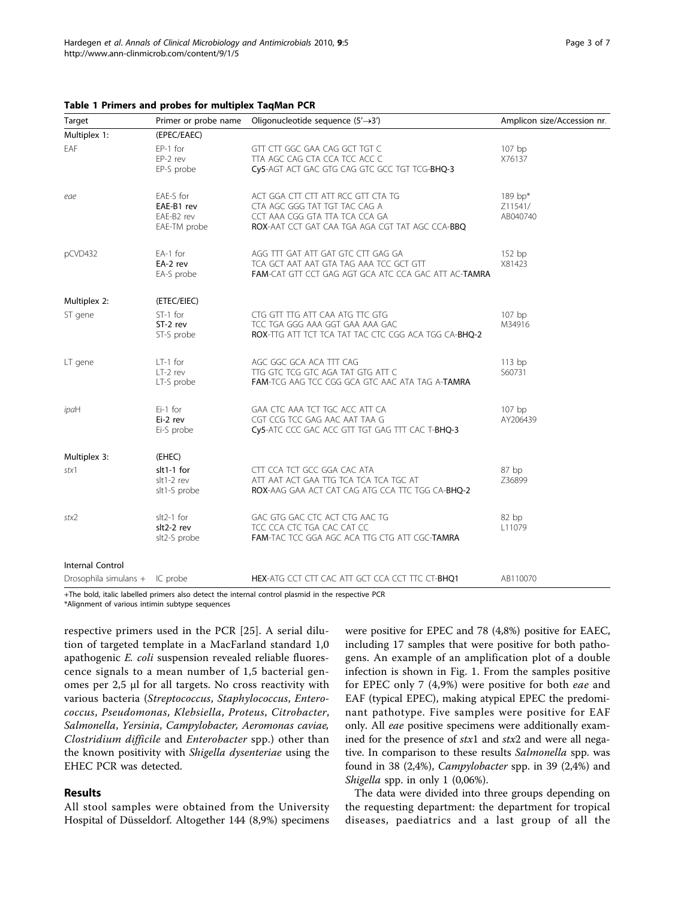<span id="page-2-0"></span>

|  |  |  |  |  |  | Table 1 Primers and probes for multiplex TaqMan PCR |  |  |
|--|--|--|--|--|--|-----------------------------------------------------|--|--|
|--|--|--|--|--|--|-----------------------------------------------------|--|--|

| Target                         |                                                                                                                                                                                | Primer or probe name Oligonucleotide sequence $(5' \rightarrow 3')$                                                                                      | Amplicon size/Accession nr.    |  |
|--------------------------------|--------------------------------------------------------------------------------------------------------------------------------------------------------------------------------|----------------------------------------------------------------------------------------------------------------------------------------------------------|--------------------------------|--|
| Multiplex 1:                   | (EPEC/EAEC)                                                                                                                                                                    |                                                                                                                                                          |                                |  |
| EAF                            | EP-1 for<br>$EP-2$ rev<br>EP-S probe                                                                                                                                           | GTT CTT GGC GAA CAG GCT TGT C<br>TTA AGC CAG CTA CCA TCC ACC C<br>Cy5-AGT ACT GAC GTG CAG GTC GCC TGT TCG-BHQ-3                                          | $107$ bp<br>X76137             |  |
| eae                            | EAE-S for<br>EAE-B1 rev<br>EAE-B2 rev<br>EAE-TM probe                                                                                                                          | ACT GGA CTT CTT ATT RCC GTT CTA TG<br>CTA AGC GGG TAT TGT TAC CAG A<br>CCT AAA CGG GTA TTA TCA CCA GA<br>ROX-AAT CCT GAT CAA TGA AGA CGT TAT AGC CCA-BBQ | 189 bp*<br>Z11541/<br>AB040740 |  |
| pCVD432                        | EA-1 for<br>EA-2 rev<br>EA-S probe                                                                                                                                             | AGG TTT GAT ATT GAT GTC CTT GAG GA<br>TCA GCT AAT AAT GTA TAG AAA TCC GCT GTT<br>FAM-CAT GTT CCT GAG AGT GCA ATC CCA GAC ATT AC-TAMRA                    | 152 bp<br>X81423               |  |
| Multiplex 2:                   | (ETEC/EIEC)                                                                                                                                                                    |                                                                                                                                                          |                                |  |
| ST gene                        | $ST-1$ for<br>$ST-2$ rev<br>ST-S probe                                                                                                                                         | CTG GTT TTG ATT CAA ATG TTC GTG<br>TCC TGA GGG AAA GGT GAA AAA GAC<br>ROX-TTG ATT TCT TCA TAT TAC CTC CGG ACA TGG CA-BHQ-2                               | 107 bp<br>M34916               |  |
| LT gene                        | $LT-1$ for<br>$LT-2$ rev<br>LT-S probe                                                                                                                                         | AGC GGC GCA ACA TTT CAG<br>TTG GTC TCG GTC AGA TAT GTG ATT C<br>FAM-TCG AAG TCC CGG GCA GTC AAC ATA TAG A-TAMRA                                          | $113$ bp<br>S60731             |  |
| ipaH                           | Ei-1 for<br>Ei-2 rev<br>Ei-S probe                                                                                                                                             | GAA CTC AAA TCT TGC ACC ATT CA<br>CGT CCG TCC GAG AAC AAT TAA G<br>Cy5-ATC CCC GAC ACC GTT TGT GAG TTT CAC T-BHQ-3                                       | 107 bp<br>AY206439             |  |
| Multiplex 3:                   | (EHEC)                                                                                                                                                                         |                                                                                                                                                          |                                |  |
| stx1                           | slt1-1 for<br>CTT CCA TCT GCC GGA CAC ATA<br>$slt1-2$ rev<br>ATT AAT ACT GAA TTG TCA TCA TCA TGC AT<br>slt1-S probe<br><b>ROX-AAG GAA ACT CAT CAG ATG CCA TTC TGG CA-BHQ-2</b> |                                                                                                                                                          | 87 bp<br>Z36899                |  |
| stx2                           | $slt2-1$ for<br>slt2-2 rev<br>slt2-S probe                                                                                                                                     | GAC GTG GAC CTC ACT CTG AAC TG<br>TCC CCA CTC TGA CAC CAT CC<br><b>FAM-TAC TCC GGA AGC ACA TTG CTG ATT CGC-TAMRA</b>                                     | 82bp<br>L11079                 |  |
| <b>Internal Control</b>        |                                                                                                                                                                                |                                                                                                                                                          |                                |  |
| Drosophila simulans + IC probe |                                                                                                                                                                                | <b>HEX-ATG CCT CTT CAC ATT GCT CCA CCT TTC CT-BHO1</b>                                                                                                   | AB110070                       |  |

+The bold, italic labelled primers also detect the internal control plasmid in the respective PCR

\*Alignment of various intimin subtype sequences

respective primers used in the PCR [[25](#page-5-0)]. A serial dilution of targeted template in a MacFarland standard 1,0 apathogenic E. coli suspension revealed reliable fluorescence signals to a mean number of 1,5 bacterial genomes per 2,5 μl for all targets. No cross reactivity with various bacteria (Streptococcus, Staphylococcus, Enterococcus, Pseudomonas, Klebsiella, Proteus, Citrobacter, Salmonella, Yersinia, Campylobacter, Aeromonas caviae, Clostridium difficile and Enterobacter spp.) other than the known positivity with Shigella dysenteriae using the EHEC PCR was detected.

#### Results

All stool samples were obtained from the University Hospital of Düsseldorf. Altogether 144 (8,9%) specimens were positive for EPEC and 78 (4,8%) positive for EAEC, including 17 samples that were positive for both pathogens. An example of an amplification plot of a double infection is shown in Fig. [1](#page-3-0). From the samples positive for EPEC only 7 (4,9%) were positive for both eae and EAF (typical EPEC), making atypical EPEC the predominant pathotype. Five samples were positive for EAF only. All eae positive specimens were additionally examined for the presence of stx1 and stx2 and were all negative. In comparison to these results Salmonella spp. was found in 38 (2,4%), Campylobacter spp. in 39 (2,4%) and Shigella spp. in only 1 (0,06%).

The data were divided into three groups depending on the requesting department: the department for tropical diseases, paediatrics and a last group of all the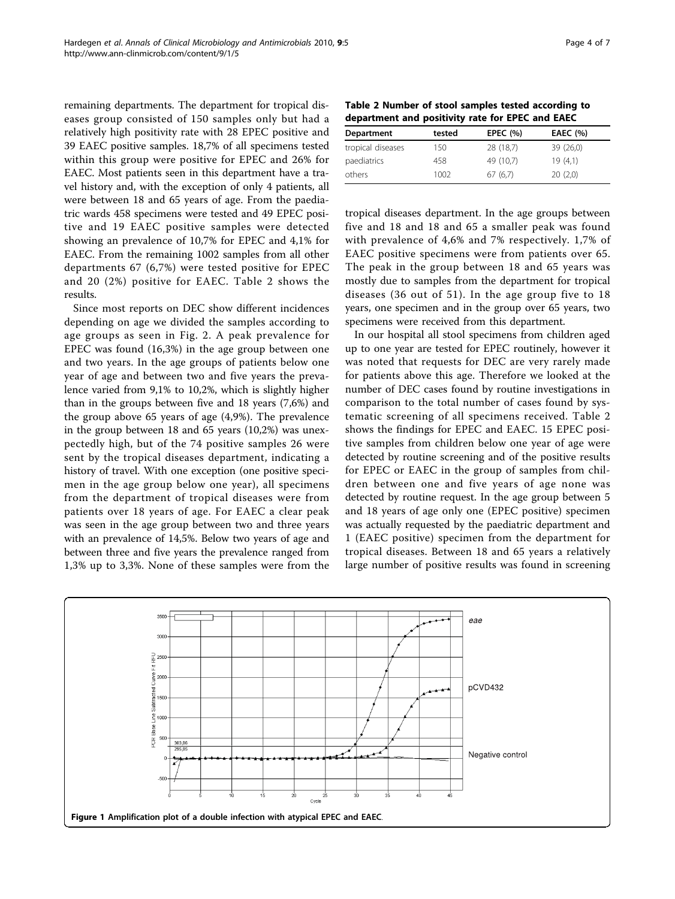<span id="page-3-0"></span>remaining departments. The department for tropical diseases group consisted of 150 samples only but had a relatively high positivity rate with 28 EPEC positive and 39 EAEC positive samples. 18,7% of all specimens tested within this group were positive for EPEC and 26% for EAEC. Most patients seen in this department have a travel history and, with the exception of only 4 patients, all were between 18 and 65 years of age. From the paediatric wards 458 specimens were tested and 49 EPEC positive and 19 EAEC positive samples were detected showing an prevalence of 10,7% for EPEC and 4,1% for EAEC. From the remaining 1002 samples from all other departments 67 (6,7%) were tested positive for EPEC and 20 (2%) positive for EAEC. Table 2 shows the results.

Since most reports on DEC show different incidences depending on age we divided the samples according to age groups as seen in Fig. [2](#page-4-0). A peak prevalence for EPEC was found (16,3%) in the age group between one and two years. In the age groups of patients below one year of age and between two and five years the prevalence varied from 9,1% to 10,2%, which is slightly higher than in the groups between five and 18 years (7,6%) and the group above 65 years of age (4,9%). The prevalence in the group between 18 and 65 years (10,2%) was unexpectedly high, but of the 74 positive samples 26 were sent by the tropical diseases department, indicating a history of travel. With one exception (one positive specimen in the age group below one year), all specimens from the department of tropical diseases were from patients over 18 years of age. For EAEC a clear peak was seen in the age group between two and three years with an prevalence of 14,5%. Below two years of age and between three and five years the prevalence ranged from 1,3% up to 3,3%. None of these samples were from the

Table 2 Number of stool samples tested according to department and positivity rate for EPEC and EAEC

| tested | EPEC $(% )$ | <b>EAEC</b> (%) |
|--------|-------------|-----------------|
| 150    | 28 (18,7)   | 39 (26,0)       |
| 458    | 49 (10.7)   | 19(4.1)         |
| 1002   | 67(6.7)     | 20(2.0)         |
|        |             |                 |

tropical diseases department. In the age groups between five and 18 and 18 and 65 a smaller peak was found with prevalence of 4,6% and 7% respectively. 1,7% of EAEC positive specimens were from patients over 65. The peak in the group between 18 and 65 years was mostly due to samples from the department for tropical diseases (36 out of 51). In the age group five to 18 years, one specimen and in the group over 65 years, two specimens were received from this department.

In our hospital all stool specimens from children aged up to one year are tested for EPEC routinely, however it was noted that requests for DEC are very rarely made for patients above this age. Therefore we looked at the number of DEC cases found by routine investigations in comparison to the total number of cases found by systematic screening of all specimens received. Table 2 shows the findings for EPEC and EAEC. 15 EPEC positive samples from children below one year of age were detected by routine screening and of the positive results for EPEC or EAEC in the group of samples from children between one and five years of age none was detected by routine request. In the age group between 5 and 18 years of age only one (EPEC positive) specimen was actually requested by the paediatric department and 1 (EAEC positive) specimen from the department for tropical diseases. Between 18 and 65 years a relatively large number of positive results was found in screening

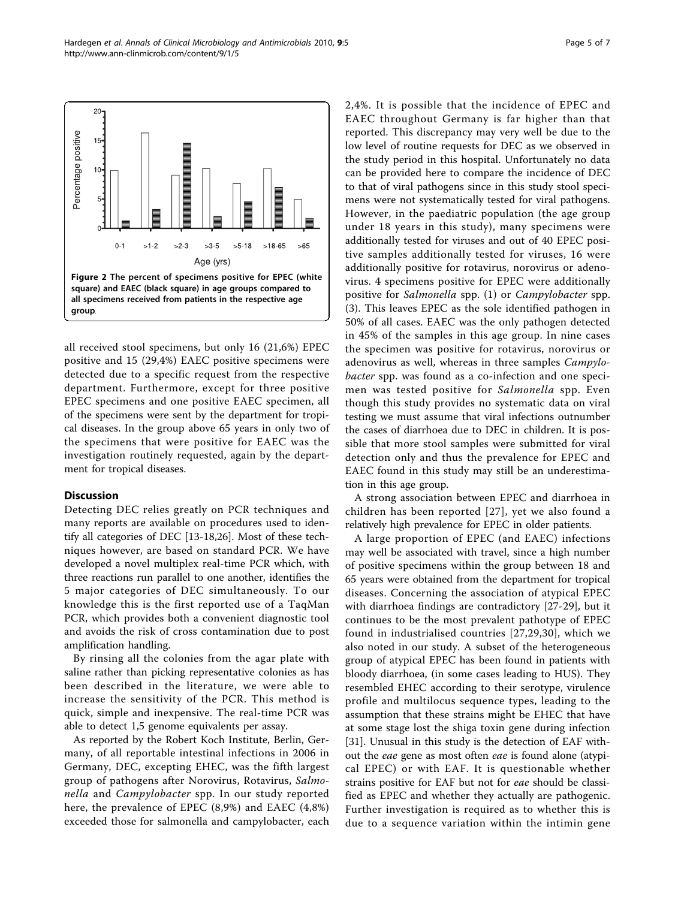<span id="page-4-0"></span>

all received stool specimens, but only 16 (21,6%) EPEC positive and 15 (29,4%) EAEC positive specimens were detected due to a specific request from the respective department. Furthermore, except for three positive EPEC specimens and one positive EAEC specimen, all of the specimens were sent by the department for tropical diseases. In the group above 65 years in only two of the specimens that were positive for EAEC was the investigation routinely requested, again by the department for tropical diseases.

## **Discussion**

Detecting DEC relies greatly on PCR techniques and many reports are available on procedures used to identify all categories of DEC [\[13](#page-5-0)-[18](#page-5-0),[26](#page-6-0)]. Most of these techniques however, are based on standard PCR. We have developed a novel multiplex real-time PCR which, with three reactions run parallel to one another, identifies the 5 major categories of DEC simultaneously. To our knowledge this is the first reported use of a TaqMan PCR, which provides both a convenient diagnostic tool and avoids the risk of cross contamination due to post amplification handling.

By rinsing all the colonies from the agar plate with saline rather than picking representative colonies as has been described in the literature, we were able to increase the sensitivity of the PCR. This method is quick, simple and inexpensive. The real-time PCR was able to detect 1,5 genome equivalents per assay.

As reported by the Robert Koch Institute, Berlin, Germany, of all reportable intestinal infections in 2006 in Germany, DEC, excepting EHEC, was the fifth largest group of pathogens after Norovirus, Rotavirus, Salmonella and Campylobacter spp. In our study reported here, the prevalence of EPEC (8,9%) and EAEC (4,8%) exceeded those for salmonella and campylobacter, each 2,4%. It is possible that the incidence of EPEC and EAEC throughout Germany is far higher than that reported. This discrepancy may very well be due to the low level of routine requests for DEC as we observed in the study period in this hospital. Unfortunately no data can be provided here to compare the incidence of DEC to that of viral pathogens since in this study stool specimens were not systematically tested for viral pathogens. However, in the paediatric population (the age group under 18 years in this study), many specimens were additionally tested for viruses and out of 40 EPEC positive samples additionally tested for viruses, 16 were additionally positive for rotavirus, norovirus or adenovirus. 4 specimens positive for EPEC were additionally positive for Salmonella spp. (1) or Campylobacter spp. (3). This leaves EPEC as the sole identified pathogen in 50% of all cases. EAEC was the only pathogen detected in 45% of the samples in this age group. In nine cases the specimen was positive for rotavirus, norovirus or adenovirus as well, whereas in three samples Campylobacter spp. was found as a co-infection and one specimen was tested positive for Salmonella spp. Even though this study provides no systematic data on viral testing we must assume that viral infections outnumber the cases of diarrhoea due to DEC in children. It is possible that more stool samples were submitted for viral detection only and thus the prevalence for EPEC and EAEC found in this study may still be an underestimation in this age group.

A strong association between EPEC and diarrhoea in children has been reported [[27](#page-6-0)], yet we also found a relatively high prevalence for EPEC in older patients.

A large proportion of EPEC (and EAEC) infections may well be associated with travel, since a high number of positive specimens within the group between 18 and 65 years were obtained from the department for tropical diseases. Concerning the association of atypical EPEC with diarrhoea findings are contradictory [\[27](#page-6-0)-[29\]](#page-6-0), but it continues to be the most prevalent pathotype of EPEC found in industrialised countries [\[27,29](#page-6-0),[30\]](#page-6-0), which we also noted in our study. A subset of the heterogeneous group of atypical EPEC has been found in patients with bloody diarrhoea, (in some cases leading to HUS). They resembled EHEC according to their serotype, virulence profile and multilocus sequence types, leading to the assumption that these strains might be EHEC that have at some stage lost the shiga toxin gene during infection [[31\]](#page-6-0). Unusual in this study is the detection of EAF without the eae gene as most often eae is found alone (atypical EPEC) or with EAF. It is questionable whether strains positive for EAF but not for eae should be classified as EPEC and whether they actually are pathogenic. Further investigation is required as to whether this is due to a sequence variation within the intimin gene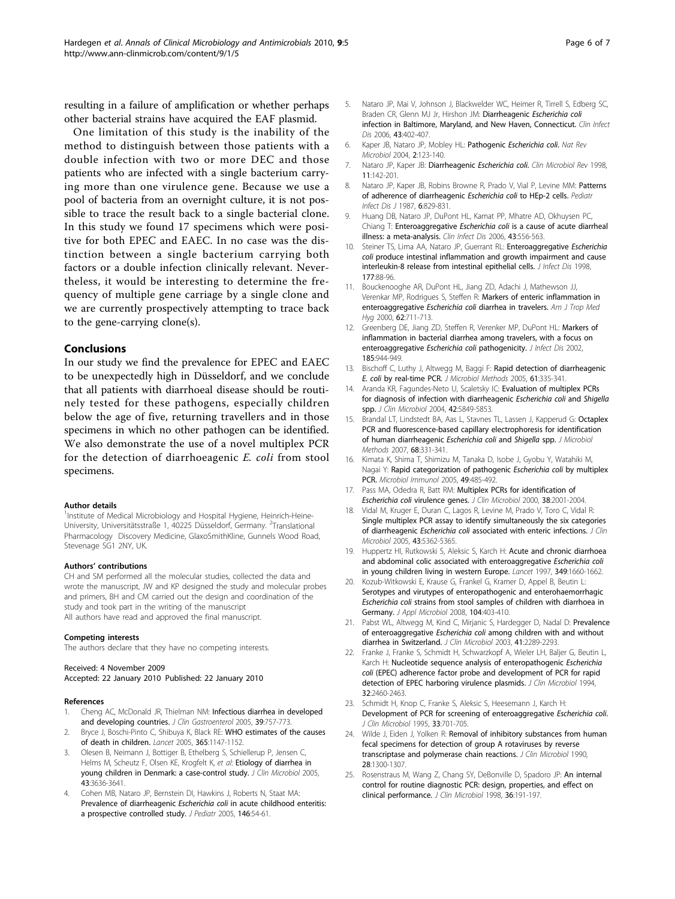<span id="page-5-0"></span>resulting in a failure of amplification or whether perhaps other bacterial strains have acquired the EAF plasmid.

One limitation of this study is the inability of the method to distinguish between those patients with a double infection with two or more DEC and those patients who are infected with a single bacterium carrying more than one virulence gene. Because we use a pool of bacteria from an overnight culture, it is not possible to trace the result back to a single bacterial clone. In this study we found 17 specimens which were positive for both EPEC and EAEC. In no case was the distinction between a single bacterium carrying both factors or a double infection clinically relevant. Nevertheless, it would be interesting to determine the frequency of multiple gene carriage by a single clone and we are currently prospectively attempting to trace back to the gene-carrying clone(s).

#### Conclusions

In our study we find the prevalence for EPEC and EAEC to be unexpectedly high in Düsseldorf, and we conclude that all patients with diarrhoeal disease should be routinely tested for these pathogens, especially children below the age of five, returning travellers and in those specimens in which no other pathogen can be identified. We also demonstrate the use of a novel multiplex PCR for the detection of diarrhoeagenic E. coli from stool specimens.

#### Author details

<sup>1</sup>Institute of Medical Microbiology and Hospital Hygiene, Heinrich-Heine-University, Universitätsstraße 1, 40225 Düsseldorf, Germany. <sup>2</sup>Translational Pharmacology Discovery Medicine, GlaxoSmithKline, Gunnels Wood Road, Stevenage SG1 2NY, UK.

#### Authors' contributions

CH and SM performed all the molecular studies, collected the data and wrote the manuscript, JW and KP designed the study and molecular probes and primers, BH and CM carried out the design and coordination of the study and took part in the writing of the manuscript All authors have read and approved the final manuscript.

#### Competing interests

The authors declare that they have no competing interests.

#### Received: 4 November 2009

## Accepted: 22 January 2010 Published: 22 January 2010

#### References

- Cheng AC, McDonald JR, Thielman NM: [Infectious diarrhea in developed](http://www.ncbi.nlm.nih.gov/pubmed/16145337?dopt=Abstract) [and developing countries.](http://www.ncbi.nlm.nih.gov/pubmed/16145337?dopt=Abstract) J Clin Gastroenterol 2005, 39:757-773.
- 2. Bryce J, Boschi-Pinto C, Shibuya K, Black RE: [WHO estimates of the causes](http://www.ncbi.nlm.nih.gov/pubmed/15794969?dopt=Abstract) [of death in children.](http://www.ncbi.nlm.nih.gov/pubmed/15794969?dopt=Abstract) Lancet 2005, 365:1147-1152.
- 3. Olesen B, Neimann J, Bottiger B, Ethelberg S, Schiellerup P, Jensen C, Helms M, Scheutz F, Olsen KE, Krogfelt K, et al: [Etiology of diarrhea in](http://www.ncbi.nlm.nih.gov/pubmed/16081890?dopt=Abstract) [young children in Denmark: a case-control study.](http://www.ncbi.nlm.nih.gov/pubmed/16081890?dopt=Abstract) J Clin Microbiol 2005, 43:3636-3641.
- 4. Cohen MB, Nataro JP, Bernstein DI, Hawkins J, Roberts N, Staat MA: Prevalence of diarrheagenic Escherichia coli [in acute childhood enteritis:](http://www.ncbi.nlm.nih.gov/pubmed/15644823?dopt=Abstract) [a prospective controlled study.](http://www.ncbi.nlm.nih.gov/pubmed/15644823?dopt=Abstract) J Pediatr 2005, 146:54-61.
- 5. Nataro JP, Mai V, Johnson J, Blackwelder WC, Heimer R, Tirrell S, Edberg SC, Braden CR, Glenn MJ Jr, Hirshon JM: Diarrheagenic [Escherichia coli](http://www.ncbi.nlm.nih.gov/pubmed/16838226?dopt=Abstract) [infection in Baltimore, Maryland, and New Haven, Connecticut.](http://www.ncbi.nlm.nih.gov/pubmed/16838226?dopt=Abstract) Clin Infect Dis 2006, 43:402-407.
- 6. Kaper JB, Nataro JP, Mobley HL: Pathogenic [Escherichia coli](http://www.ncbi.nlm.nih.gov/pubmed/15040260?dopt=Abstract). Nat Rev Microbiol 2004, 2:123-140.
- 7. Nataro JP, Kaper JB: Diarrheagenic [Escherichia coli](http://www.ncbi.nlm.nih.gov/pubmed/9457432?dopt=Abstract). Clin Microbiol Rev 1998, 11:142-201.
- 8. Nataro JP, Kaper JB, Robins Browne R, Prado V, Vial P, Levine MM: [Patterns](http://www.ncbi.nlm.nih.gov/pubmed/3313248?dopt=Abstract) [of adherence of diarrheagenic](http://www.ncbi.nlm.nih.gov/pubmed/3313248?dopt=Abstract) Escherichia coli to HEp-2 cells. Pediatr Infect Dis J 1987, 6:829-831.
- 9. Huang DB, Nataro JP, DuPont HL, Kamat PP, Mhatre AD, Okhuysen PC, Chiang T: Enteroaggregative Escherichia coli [is a cause of acute diarrheal](http://www.ncbi.nlm.nih.gov/pubmed/16886146?dopt=Abstract) [illness: a meta-analysis.](http://www.ncbi.nlm.nih.gov/pubmed/16886146?dopt=Abstract) Clin Infect Dis 2006, 43:556-563.
- 10. Steiner TS, Lima AA, Nataro JP, Guerrant RL: [Enteroaggregative](http://www.ncbi.nlm.nih.gov/pubmed/9419174?dopt=Abstract) Escherichia coli [produce intestinal inflammation and growth impairment and cause](http://www.ncbi.nlm.nih.gov/pubmed/9419174?dopt=Abstract) [interleukin-8 release from intestinal epithelial cells.](http://www.ncbi.nlm.nih.gov/pubmed/9419174?dopt=Abstract) *J Infect Dis* 1998, 177:88-96.
- 11. Bouckenooghe AR, DuPont HL, Jiang ZD, Adachi J, Mathewson JJ, Verenkar MP, Rodrigues S, Steffen R: [Markers of enteric inflammation in](http://www.ncbi.nlm.nih.gov/pubmed/11304060?dopt=Abstract) enteroaggregative Escherichia coli [diarrhea in travelers.](http://www.ncbi.nlm.nih.gov/pubmed/11304060?dopt=Abstract) Am J Trop Med Hyg 2000, 62:711-713.
- 12. Greenberg DE, Jiang ZD, Steffen R, Verenker MP, DuPont HL: [Markers of](http://www.ncbi.nlm.nih.gov/pubmed/11920319?dopt=Abstract) [inflammation in bacterial diarrhea among travelers, with a focus on](http://www.ncbi.nlm.nih.gov/pubmed/11920319?dopt=Abstract) [enteroaggregative](http://www.ncbi.nlm.nih.gov/pubmed/11920319?dopt=Abstract) Escherichia coli pathogenicity. J Infect Dis 2002, 185:944-949.
- 13. Bischoff C, Luthy J, Altwegg M, Baggi F: [Rapid detection of diarrheagenic](http://www.ncbi.nlm.nih.gov/pubmed/15767009?dopt=Abstract) E. coli [by real-time PCR.](http://www.ncbi.nlm.nih.gov/pubmed/15767009?dopt=Abstract) J Microbiol Methods 2005, 61:335-341.
- 14. Aranda KR, Fagundes-Neto U, Scaletsky IC: [Evaluation of multiplex PCRs](http://www.ncbi.nlm.nih.gov/pubmed/15583323?dopt=Abstract) [for diagnosis of infection with diarrheagenic](http://www.ncbi.nlm.nih.gov/pubmed/15583323?dopt=Abstract) Escherichia coli and Shigella [spp.](http://www.ncbi.nlm.nih.gov/pubmed/15583323?dopt=Abstract) J Clin Microbiol 2004, 42:5849-5853.
- 15. Brandal LT, Lindstedt BA, Aas L, Stavnes TL, Lassen J, Kapperud G: [Octaplex](http://www.ncbi.nlm.nih.gov/pubmed/17079041?dopt=Abstract) [PCR and fluorescence-based capillary electrophoresis for identification](http://www.ncbi.nlm.nih.gov/pubmed/17079041?dopt=Abstract) [of human diarrheagenic](http://www.ncbi.nlm.nih.gov/pubmed/17079041?dopt=Abstract) Escherichia coli and Shigella spp. J Microbiol Methods 2007, 68:331-341.
- 16. Kimata K, Shima T, Shimizu M, Tanaka D, Isobe J, Gyobu Y, Watahiki M, Nagai Y: [Rapid categorization of pathogenic](http://www.ncbi.nlm.nih.gov/pubmed/15965295?dopt=Abstract) Escherichia coli by multiplex [PCR.](http://www.ncbi.nlm.nih.gov/pubmed/15965295?dopt=Abstract) Microbiol Immunol 2005, 49:485-492.
- 17. Pass MA, Odedra R, Batt RM: [Multiplex PCRs for identification of](http://www.ncbi.nlm.nih.gov/pubmed/10790141?dopt=Abstract) Escherichia coli [virulence genes.](http://www.ncbi.nlm.nih.gov/pubmed/10790141?dopt=Abstract) J Clin Microbiol 2000, 38:2001-2004.
- 18. Vidal M, Kruger E, Duran C, Lagos R, Levine M, Prado V, Toro C, Vidal R: [Single multiplex PCR assay to identify simultaneously the six categories](http://www.ncbi.nlm.nih.gov/pubmed/16208019?dopt=Abstract) of diarrheagenic Escherichia coli [associated with enteric infections.](http://www.ncbi.nlm.nih.gov/pubmed/16208019?dopt=Abstract) J Clin Microbiol 2005, 43:5362-5365.
- 19. Huppertz HI, Rutkowski S, Aleksic S, Karch H: [Acute and chronic diarrhoea](http://www.ncbi.nlm.nih.gov/pubmed/9186384?dopt=Abstract) [and abdominal colic associated with enteroaggregative](http://www.ncbi.nlm.nih.gov/pubmed/9186384?dopt=Abstract) Escherichia coli [in young children living in western Europe.](http://www.ncbi.nlm.nih.gov/pubmed/9186384?dopt=Abstract) Lancet 1997, 349:1660-1662.
- 20. Kozub-Witkowski E, Krause G, Frankel G, Kramer D, Appel B, Beutin L: [Serotypes and virutypes of enteropathogenic and enterohaemorrhagic](http://www.ncbi.nlm.nih.gov/pubmed/17887989?dopt=Abstract) Escherichia coli [strains from stool samples of children with diarrhoea in](http://www.ncbi.nlm.nih.gov/pubmed/17887989?dopt=Abstract) [Germany.](http://www.ncbi.nlm.nih.gov/pubmed/17887989?dopt=Abstract) J Appl Microbiol 2008, 104:403-410.
- 21. Pabst WL, Altwegg M, Kind C, Mirjanic S, Hardegger D, Nadal D: [Prevalence](http://www.ncbi.nlm.nih.gov/pubmed/12791838?dopt=Abstract) of enteroaggregative Escherichia coli [among children with and without](http://www.ncbi.nlm.nih.gov/pubmed/12791838?dopt=Abstract) [diarrhea in Switzerland.](http://www.ncbi.nlm.nih.gov/pubmed/12791838?dopt=Abstract) J Clin Microbiol 2003, 41:2289-2293.
- 22. Franke J, Franke S, Schmidt H, Schwarzkopf A, Wieler LH, Baljer G, Beutin L, Karch H: [Nucleotide sequence analysis of enteropathogenic](http://www.ncbi.nlm.nih.gov/pubmed/7814482?dopt=Abstract) Escherichia coli [\(EPEC\) adherence factor probe and development of PCR for rapid](http://www.ncbi.nlm.nih.gov/pubmed/7814482?dopt=Abstract) [detection of EPEC harboring virulence plasmids.](http://www.ncbi.nlm.nih.gov/pubmed/7814482?dopt=Abstract) J Clin Microbiol 1994, 32:2460-2463.
- 23. Schmidt H, Knop C, Franke S, Aleksic S, Heesemann J, Karch H: [Development of PCR for screening of enteroaggregative](http://www.ncbi.nlm.nih.gov/pubmed/7751380?dopt=Abstract) Escherichia coli. J Clin Microbiol 1995, 33:701-705.
- 24. Wilde J, Eiden J, Yolken R: [Removal of inhibitory substances from human](http://www.ncbi.nlm.nih.gov/pubmed/1696283?dopt=Abstract) [fecal specimens for detection of group A rotaviruses by reverse](http://www.ncbi.nlm.nih.gov/pubmed/1696283?dopt=Abstract) [transcriptase and polymerase chain reactions.](http://www.ncbi.nlm.nih.gov/pubmed/1696283?dopt=Abstract) J Clin Microbiol 1990, 28:1300-1307.
- 25. Rosenstraus M, Wang Z, Chang SY, DeBonville D, Spadoro JP: [An internal](http://www.ncbi.nlm.nih.gov/pubmed/9431945?dopt=Abstract) [control for routine diagnostic PCR: design, properties, and effect on](http://www.ncbi.nlm.nih.gov/pubmed/9431945?dopt=Abstract) [clinical performance.](http://www.ncbi.nlm.nih.gov/pubmed/9431945?dopt=Abstract) J Clin Microbiol 1998, 36:191-197.